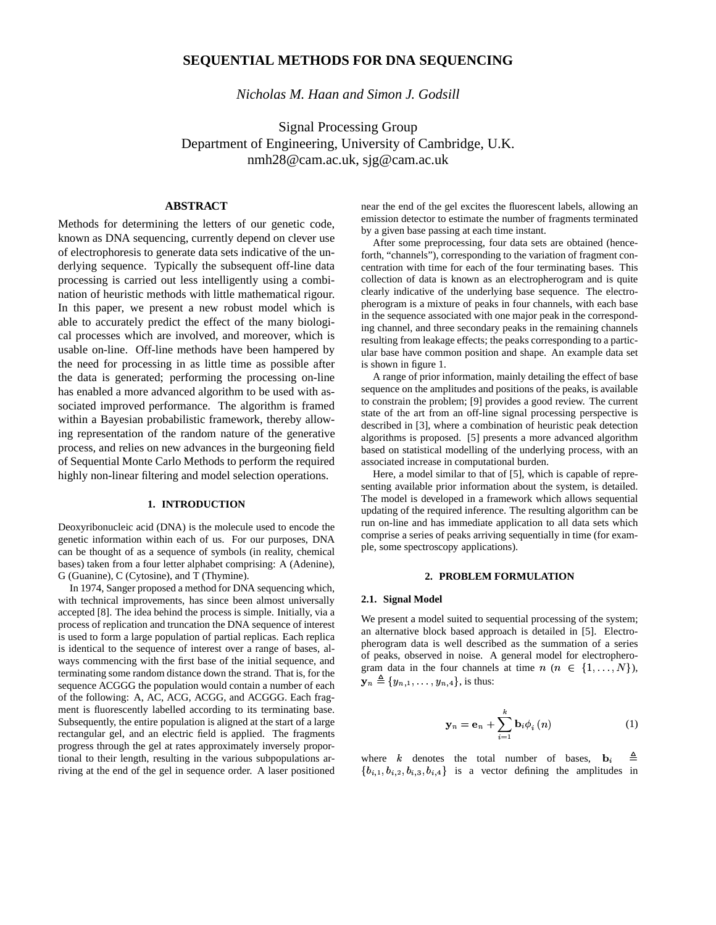# **SEQUENTIAL METHODS FOR DNA SEQUENCING**

*Nicholas M. Haan and Simon J. Godsill*

Signal Processing Group Department of Engineering, University of Cambridge, U.K. nmh28@cam.ac.uk, sjg@cam.ac.uk

# **ABSTRACT**

Methods for determining the letters of our genetic code, known as DNA sequencing, currently depend on clever use of electrophoresis to generate data sets indicative of the underlying sequence. Typically the subsequent off-line data processing is carried out less intelligently using a combination of heuristic methods with little mathematical rigour. In this paper, we present a new robust model which is able to accurately predict the effect of the many biological processes which are involved, and moreover, which is usable on-line. Off-line methods have been hampered by the need for processing in as little time as possible after the data is generated; performing the processing on-line has enabled a more advanced algorithm to be used with associated improved performance. The algorithm is framed within a Bayesian probabilistic framework, thereby allowing representation of the random nature of the generative process, and relies on new advances in the burgeoning field of Sequential Monte Carlo Methods to perform the required highly non-linear filtering and model selection operations.

# **1. INTRODUCTION**

Deoxyribonucleic acid (DNA) is the molecule used to encode the genetic information within each of us. For our purposes, DNA can be thought of as a sequence of symbols (in reality, chemical bases) taken from a four letter alphabet comprising: A (Adenine), G (Guanine), C (Cytosine), and T (Thymine).

In 1974, Sanger proposed a method for DNA sequencing which, with technical improvements, has since been almost universally accepted [8]. The idea behind the process is simple. Initially, via a process of replication and truncation the DNA sequence of interest is used to form a large population of partial replicas. Each replica is identical to the sequence of interest over a range of bases, always commencing with the first base of the initial sequence, and terminating some random distance down the strand. That is, for the sequence ACGGG the population would contain a number of each of the following: A, AC, ACG, ACGG, and ACGGG. Each fragment is fluorescently labelled according to its terminating base. Subsequently, the entire population is aligned at the start of a large rectangular gel, and an electric field is applied. The fragments progress through the gel at rates approximately inversely proportional to their length, resulting in the various subpopulations arriving at the end of the gel in sequence order. A laser positioned near the end of the gel excites the fluorescent labels, allowing an emission detector to estimate the number of fragments terminated by a given base passing at each time instant.

After some preprocessing, four data sets are obtained (henceforth, "channels"), corresponding to the variation of fragment concentration with time for each of the four terminating bases. This collection of data is known as an electropherogram and is quite clearly indicative of the underlying base sequence. The electropherogram is a mixture of peaks in four channels, with each base in the sequence associated with one major peak in the corresponding channel, and three secondary peaks in the remaining channels resulting from leakage effects; the peaks corresponding to a particular base have common position and shape. An example data set is shown in figure 1.

A range of prior information, mainly detailing the effect of base sequence on the amplitudes and positions of the peaks, is available to constrain the problem; [9] provides a good review. The current state of the art from an off-line signal processing perspective is described in [3], where a combination of heuristic peak detection algorithms is proposed. [5] presents a more advanced algorithm based on statistical modelling of the underlying process, with an associated increase in computational burden.

Here, a model similar to that of [5], which is capable of representing available prior information about the system, is detailed. The model is developed in a framework which allows sequential updating of the required inference. The resulting algorithm can be run on-line and has immediate application to all data sets which comprise a series of peaks arriving sequentially in time (for example, some spectroscopy applications).

# **2. PROBLEM FORMULATION**

#### **2.1. Signal Model**

We present a model suited to sequential processing of the system; an alternative block based approach is detailed in [5]. Electropherogram data is well described as the summation of a series of peaks, observed in noise. A general model for electropherogram data in the four channels at time  $n (n \in \{1, ..., N\})$ ,  $\mathbf{y}_n \triangleq \{y_{n,1}, \ldots, y_{n,4}\},$  is thus:

$$
\mathbf{y}_{n} = \mathbf{e}_{n} + \sum_{i=1}^{k} \mathbf{b}_{i} \phi_{i} \left( n \right) \tag{1}
$$

where  $k$  denotes the total number of bases,  $\{4\}$  is a vector defining the amplitudes in ≜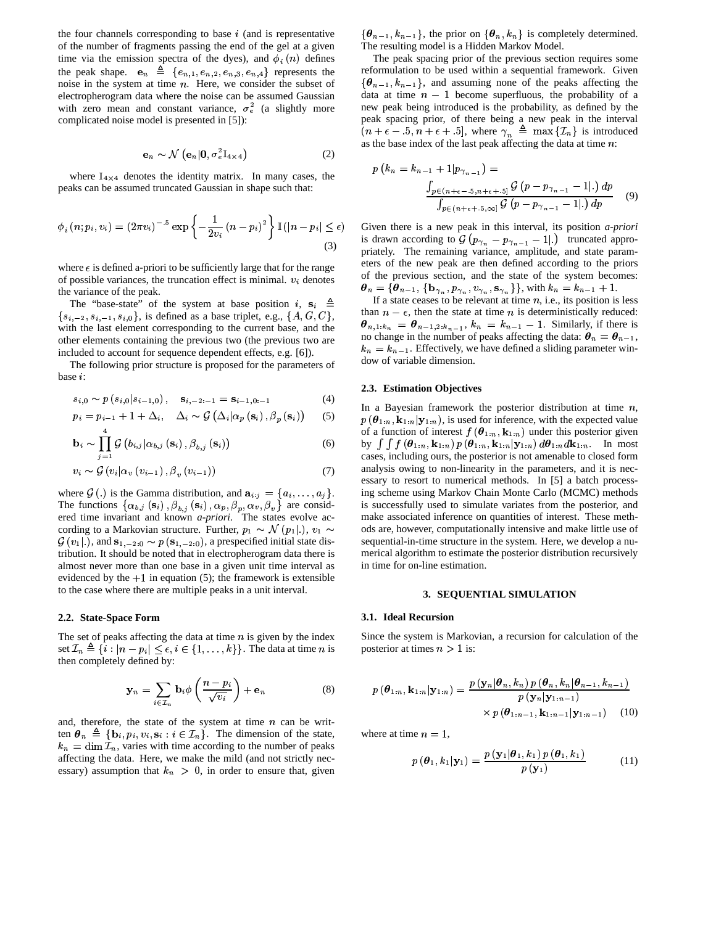the four channels corresponding to base  $i$  (and is representative of the number of fragments passing the end of the gel at a given time via the emission spectra of the dyes), and  $\phi_i(n)$  defines the peak shape.  $\mathbf{e}_n \triangleq \{e_{n,1}, e_{n,2}, e_{n,3}, e_{n,4}\}\$  represents the noise in the system at time  $n$ . Here, we consider the subset of electropherogram data where the noise can be assumed Gaussian <sup>4</sup> with zero mean and constant variance,  $\sigma_e^2$  (a slightly more complicated noise model is presented in [5]):

$$
\mathbf{e}_n \sim \mathcal{N}\left(\mathbf{e}_n | \mathbf{0}, \sigma_e^2 \mathbf{I}_{4 \times 4}\right) \tag{2}
$$

where  $I_{4 \times 4}$  denotes the identity matrix. In many cases, the peaks can be assumed truncated Gaussian in shape such that:

$$
\phi_i(n; p_i, v_i) = (2\pi v_i)^{-.5} \exp\left\{-\frac{1}{2v_i}(n-p_i)^2\right\} \mathbb{I}(|n-p_i| \le \epsilon)
$$
\n(3)

where  $\epsilon$  is defined a-priori to be sufficiently large that for the range of possible variances, the truncation effect is minimal.  $v_i$  denotes the variance of the peak.

The "base-state" of the system at base position i,  $\mathbf{s}_i \triangleq$  $\{A, G, G\}$ ,  $\{s_{i-1}, s_{i,0}\}$ , is defined as a base triplet, e.g.,  $\{A, G, C\}$ , with the last element corresponding to the current base, and the other elements containing the previous two (the previous two are included to account for sequence dependent effects, e.g. [6]).

The following prior structure is proposed for the parameters of base  $i$ :

$$
s_{i,0} \sim p(s_{i,0}|s_{i-1,0}), \quad \mathbf{s}_{i,-2:-1} = \mathbf{s}_{i-1,0:-1}
$$
 (4)

$$
p_i = p_{i-1} + 1 + \Delta_i, \quad \Delta_i \sim \mathcal{G}\left(\Delta_i | \alpha_p\left(\mathbf{s}_i\right), \beta_p\left(\mathbf{s}_i\right)\right) \tag{5}
$$

$$
\mathbf{b}_{i} \sim \prod_{j=1}^{4} \mathcal{G}\left(b_{i,j} | \alpha_{b,j}\left(\mathbf{s}_{i}\right), \beta_{b,j}\left(\mathbf{s}_{i}\right)\right) \tag{6}
$$

$$
v_i \sim \mathcal{G}\left(v_i|\alpha_v\left(v_{i-1}\right),\beta_v\left(v_{i-1}\right)\right) \tag{7}
$$

where  $\mathcal{G}$  (.) is the Gamma distribution, and  $\mathbf{a}_{i:j} = \{a_i, \ldots, a_j\}$ . in The functions  $\{\alpha_{b,j}(\mathbf{s}_i), \beta_{b,i}(\mathbf{s}_i), \alpha_p, \beta_n, \alpha_v, \beta_v\}$  are considered time invariant and known *a-priori*. The states evolve ac-<br>cording to a Markovian structure. Further,  $p_1 \sim \mathcal{N}(p_1|.)$ ,  $v_1 \sim$  ods  $\mathcal{G}(v_1|.)$ , and  $\mathbf{s}_{1,-2:0} \sim p(\mathbf{s}_{1,-2:0})$ , a prespecified initial state disrding to a Markovian structure. Fu **Report Follows**  $\mathbf{r}$ tribution. It should be noted that in electropherogram data there is almost never more than one base in a given unit time interval as evidenced by the  $+1$  in equation (5); the framework is extensible to the case where there are multiple peaks in a unit interval.

## **2.2. State-Space Form**

The set of peaks affecting the data at time  $n$  is given by the index The set of peaks affecting the data at time *n* is given by the index<br>set  $\mathcal{I}_n \triangleq \{i : |n - p_i| \le \epsilon, i \in \{1, ..., k\}\}\.$  The data at time *n* is post then completely defined by:

$$
\mathbf{y}_n = \sum_{i \in \mathcal{I}_n} \mathbf{b}_i \phi \left( \frac{n - p_i}{\sqrt{v_i}} \right) + \mathbf{e}_n \tag{8}
$$

and, therefore, the state of the system at time *n* can be written  $\theta_n \triangleq {\mathbf{b}_i, p_i, v_i, \mathbf{s}_i : i \in \mathcal{I}_n}$ . The dimension of the state,  $k_n = \dim \mathcal{I}_n$ , varies with time according to the number of peaks affecting the data. Here, we make the mild (and not strictly necessary) assumption that  $k_n > 0$ , in order to ensure that, given

 $\{\theta_{n-1}, k_{n-1}\}\$ , the prior on  $\{\theta_n, k_n\}$  is completely determined. The resulting model is a Hidden Markov Model.

The peak spacing prior of the previous section requires some reformulation to be used within a sequential framework. Given  $\{\theta_{n-1}, k_{n-1}\}\$ , and assuming none of the peaks affecting the and the second part of the second second to the second second to the second second to the second second to the **Representative Contract Contract Contract Contract Contract Contract Contract Contract Contract Contract Contract Contract Contract Contract Contract Contract Contract Contract Contract Contract Contract Contract Contract** data at time  $n-1$  become superfluous, the probability of a new peak being introduced is the probability, as defined by the peak spacing prior, of there being a new peak in the interval  $(n + \epsilon - 5, n + \epsilon + 5]$ , where  $\gamma_n \triangleq \max{\{\mathcal{I}_n\}}$  is introduced as the base index of the last peak affecting the data at time  $n$ :

$$
p(k_n = k_{n-1} + 1|p_{\gamma_{n-1}}) =
$$
  

$$
\frac{\int_{p \in (n+\epsilon-5, n+\epsilon+.5]} G (p - p_{\gamma_{n-1}} - 1|.) dp}{\int_{p \in (n+\epsilon+.5, \infty]} G (p - p_{\gamma_{n-1}} - 1|.) dp}
$$
(9)

 $|\leq \epsilon$ ) Given there is a new peak in this interval, its position *a-priori* Given there is a new peak in this interval, its position *a-priori* is drawn according to  $\mathcal{G}(p_{\gamma_n} - p_{\gamma_{n-1}} - 1|)$  truncated appropriately. The remaining variance, amplitude, and state parameters of the new peak are then defined according to the priors of the previous section, and the state of the system becomes:  $\theta_n = {\theta_{n-1}, \{\mathbf{b}_{\gamma_n}, p_{\gamma_n}, v_{\gamma_n}, \mathbf{s}_{\gamma_n}\}}$ , with  $k_n = k_{n-1} + 1$ .

 If a state ceases to be relevant at time  $n$ , i.e., its position is less than  $n - \epsilon$ , then the state at time *n* is deterministically reduced: than  $n - \epsilon$ , then the state at time *n* is deterministically reduced:<br> $\theta_{n,1:k_n} = \theta_{n-1,2:k_{n-1}}, k_n = k_{n-1} - 1$ . Similarly, if there is no change in the number of peaks affecting the data:  $\theta_n = \theta_{n-1}$ ,  $k_n = k_{n-1}$ . Effectively, we have defined a sliding parameter window of variable dimension.

#### **2.3. Estimation Objectives**

 $, v_1 \sim$  ods are, however, computationally intensive and make little use of In a Bayesian framework the posterior distribution at time  $n$ ,  $p(\theta_{1:n}, \mathbf{k}_{1:n} | \mathbf{y}_{1:n})$ , is used for inference, with the expected value of a function of interest  $f(\theta_{1:n}, \mathbf{k}_{1:n})$  under this posterior given<br>by  $\int \int f(\theta_{1:n}, \mathbf{k}_{1:n}) p(\theta_{1:n}, \mathbf{k}_{1:n} | \mathbf{v}_{1:n}) d\theta_{1:n} d\mathbf{k}_{1:n}$ . In most by  $\int \int f(\boldsymbol{\theta}_{1:n},\mathbf{k}_{1:n}) p(\boldsymbol{\theta}_{1:n},\mathbf{k}_{1:n}|\mathbf{y}_{1:n}) d\boldsymbol{\theta}_{1:n} d\mathbf{k}_{1:n}$ . In most cases, including ours, the posterior is not amenable to closed form analysis owing to non-linearity in the parameters, and it is necessary to resort to numerical methods. In [5] a batch processing scheme using Markov Chain Monte Carlo (MCMC) methods is successfully used to simulate variates from the posterior, and make associated inference on quantities of interest. These methsequential-in-time structure in the system. Here, we develop a numerical algorithm to estimate the posterior distribution recursively in time for on-line estimation.

## **3. SEQUENTIAL SIMULATION**

#### **3.1. Ideal Recursion**

Since the system is Markovian, a recursion for calculation of the posterior at times  $n > 1$  is:

$$
p(\boldsymbol{\theta}_{1:n}, \mathbf{k}_{1:n}|\mathbf{y}_{1:n}) = \frac{p(\mathbf{y}_n|\boldsymbol{\theta}_n, k_n) p(\boldsymbol{\theta}_n, k_n|\boldsymbol{\theta}_{n-1}, k_{n-1})}{p(\mathbf{y}_n|\mathbf{y}_{1:n-1})} \times p(\boldsymbol{\theta}_{1:n-1}, \mathbf{k}_{1:n-1}|\mathbf{y}_{1:n-1}) \qquad (10)
$$

where at time  $n = 1$ .

$$
p(\boldsymbol{\theta}_1, k_1 | \mathbf{y}_1) = \frac{p(\mathbf{y}_1 | \boldsymbol{\theta}_1, k_1) p(\boldsymbol{\theta}_1, k_1)}{p(\mathbf{y}_1)}
$$
(11)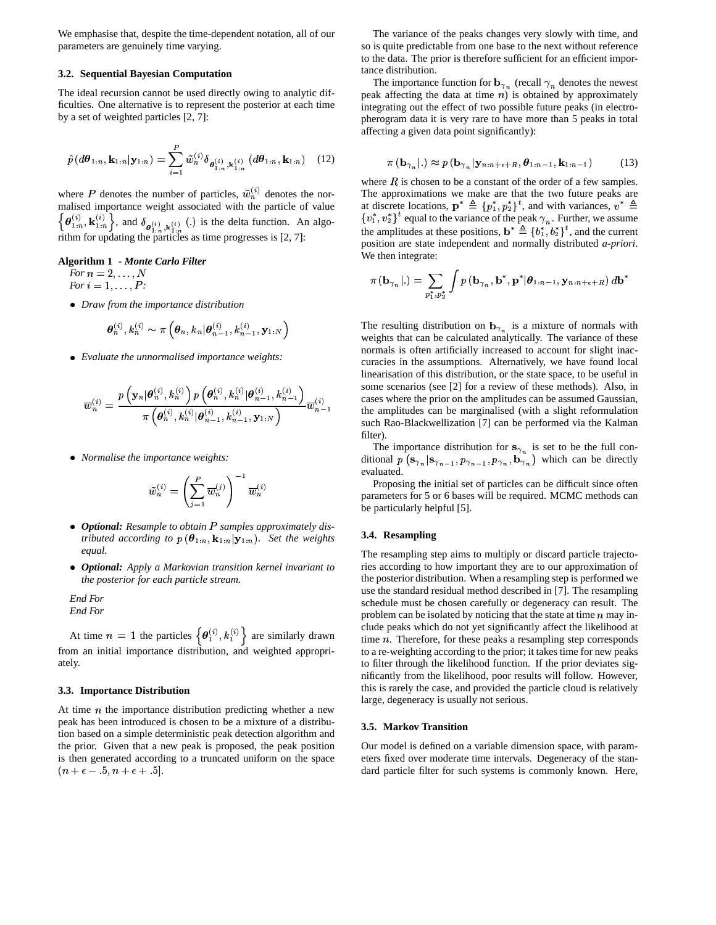We emphasise that, despite the time-dependent notation, all of our parameters are genuinely time varying.

#### **3.2. Sequential Bayesian Computation**

The ideal recursion cannot be used directly owing to analytic difficulties. One alternative is to represent the posterior at each time by a set of weighted particles [2, 7]:

$$
\hat{p}(d\theta_{1:n}, \mathbf{k}_{1:n}|\mathbf{y}_{1:n}) = \sum_{i=1}^{P} \tilde{w}_{n}^{(i)} \delta_{\theta_{1:n}^{(i)}, \mathbf{k}_{1:n}^{(i)}}(d\theta_{1:n}, \mathbf{k}_{1:n})
$$
 (12)

where P denotes the number of particles,  $\tilde{w}_n^{(i)}$  denotes the normalised importance weight associated with the particle of value<br> $\left\{ \mathbf{a}^{(i)} \cdot \mathbf{h}^{(i)} \right\}$  and  $\delta$  () is the delta function. An else <u>graduate de la contrada de la contrada de la contrada de la contrada de la contrada de la contrada de la con</u>  $\theta_{1:n}^{(i)}$ ,  $\mathbf{k}_{1:n}^{(i)}$ , and  $\delta_{\rho^{(i)}-1:(i)}$  (.) is the delta function. An algorithm for updating the particles as time progresses is [2, 7]:

# **Algorithm 1** *- Monte**Carlo**Filter For*  $n = 2, ..., N$

 *For*  $i = 1, \ldots, P$ :

• Draw from the *importance distribution* 

$$
\boldsymbol{\theta}_n^{(i)}, k_n^{(i)} \sim \pi \left(\boldsymbol{\theta}_n, k_n | \boldsymbol{\theta}_{n-1}^{(i)}, k_{n-1}^{(i)}, \mathbf{y}_{1:N} \right)
$$

<sup>Ê</sup> *Evaluate the unnormalised importance weights:*

$$
\overline{w}_n^{(i)} = \frac{{p\left( {{\mathbf{y}}_n|\boldsymbol{\theta}_n^{(i)},k_n^{(i)}} \right){p\left( {{\boldsymbol{\theta}}_n^{(i)},k_n^{(i)}|\boldsymbol{\theta}_{n-1}^{(i)},k_{n-1}^{(i)}} \right)}}{\pi \left( {{\boldsymbol{\theta}}_n^{(i)},k_n^{(i)}|\boldsymbol{\theta}_{n-1}^{(i)},k_{n-1}^{(i)},\mathbf{y}_{1:N}} \right)}}\overline{w}_{n-1}^{(i)}
$$

**•** Normalise the *importance* weights:

$$
\tilde{w}_n^{(i)} = \left(\sum_{j=1}^P \overline{w}_n^{(j)}\right)^{-1} \overline{w}_n^{(i)}
$$

- **Optional:** Resample to obtain P samples approximately distributed according to  $p(\theta_{1:n}, k_{1:n} | \mathbf{y}_{1:n})$ . Set the weights *tributed according* to  $p(\theta_{1:n}, k_{1:n} | \mathbf{y}_{1:n})$ . Set the weights *equal.*
- <sup>Ê</sup> *Optional: Apply a Markovian transition kernel invariant to the posterior for each particle stream.*

*End For End For*

At time  $n = 1$  the particles  $\{\boldsymbol{\theta}_1^{(i)}, k_1^{(i)}\}$  are similarly drawn from an initial importance distribution, and weighted appropriately.

## **3.3. Importance Distribution**

At time  $n$  the importance distribution predicting whether a new peak has been introduced is chosen to be a mixture of a distribution based on a simple deterministic peak detection algorithm and the prior. Given that a new peak is proposed, the peak position is then generated according to a truncated uniform on the space  $(n + \epsilon - 5, n + \epsilon + 5].$ 

The variance of the peaks changes very slowly with time, and so is quite predictable from one base to the next without reference to the data. The prior is therefore sufficient for an efficient importance distribution.

The importance function for  $\mathbf{b}_{\gamma_n}$  (recall  $\gamma_n$  denotes the newest peak affecting the data at time  $n$ ) is obtained by approximately integrating out the effect of two possible future peaks (in electropherogram data it is very rare to have more than 5 peaks in total affecting a given data point significantly):

$$
\pi\left(\mathbf{b}_{\gamma_n}\right|.) \approx p\left(\mathbf{b}_{\gamma_n}\right|\mathbf{y}_{n:n+\epsilon+R}, \theta_{1:n-1}, \mathbf{k}_{1:n-1}\right) \tag{13}
$$

where  $R$  is chosen to be a constant of the order of a few samples. The approximations we make are that the two future peaks are at discrete locations,  $\mathbf{p}^* \triangleq \{p_1^*, p_2^*\}^t$ , and with variances,  $v^* \triangleq$  $\{v_1^*, v_2^*\}^t$  equal to the variance of the peak  $\gamma_n$ . Further, we assume the amplitudes at these positions,  $\mathbf{b}^* \triangleq \{b_1^*, b_2^*\}^t$ , and the current \* position are state independent and normally distributed *a-priori*. We then integrate:

$$
\pi\left(\mathbf{b}_{\gamma_n}\left|.\right.\right)=\sum_{p_1^*,p_2^*}\int p\left(\mathbf{b}_{\gamma_n},\mathbf{b}^*,\mathbf{p}^*\vert\boldsymbol{\theta}_{1:n-1},\mathbf{y}_{n:n+\epsilon+R}\right)d\mathbf{b}^*
$$

 $\overline{w_{n-1}}$  the amplitudes can be marginalised (with a slight reformulation The resulting distribution on  $\mathbf{b}_{\gamma_n}$  is a mixture of normals with weights that can be calculated analytically. The variance of these normals is often artificially increased to account for slight inaccuracies in the assumptions. Alternatively, we have found local linearisation of this distribution, or the state space, to be useful in some scenarios (see [2] for a review of these methods). Also, in cases where the prior on the amplitudes can be assumed Gaussian, such Rao-Blackwellization [7] can be performed via the Kalman filter).

> The importance distribution for  $s_{\gamma_n}$  is set to be the full conditional  $p(\mathbf{s}_{\gamma_n} | \mathbf{s}_{\gamma_{n-1}})$ IS $\sim$   $p_{\gamma}$ distribution for  $\mathbf{s}_{\gamma_n}$  is set to ) which can be directly evaluated.

> Proposing the initial set of particles can be difficult since often parameters for 5 or 6 bases will be required. MCMC methods can be particularly helpful [5].

#### **3.4. Resampling**

The resampling step aims to multiply or discard particle trajectories according to how important they are to our approximation of the posterior distribution. When a resampling step is performed we use the standard residual method described in [7]. The resampling schedule must be chosen carefully or degeneracy can result. The problem can be isolated by noticing that the state at time  $n$  may include peaks which do not yet significantly affect the likelihood at time  $n$ . Therefore, for these peaks a resampling step corresponds to a re-weighting according to the prior; it takes time for new peaks to filter through the likelihood function. If the prior deviates significantly from the likelihood, poor results will follow. However, this is rarely the case, and provided the particle cloud is relatively large, degeneracy is usually not serious.

#### **3.5. Markov Transition**

Our model is defined on a variable dimension space, with parameters fixed over moderate time intervals. Degeneracy of the standard particle filter for such systems is commonly known. Here,